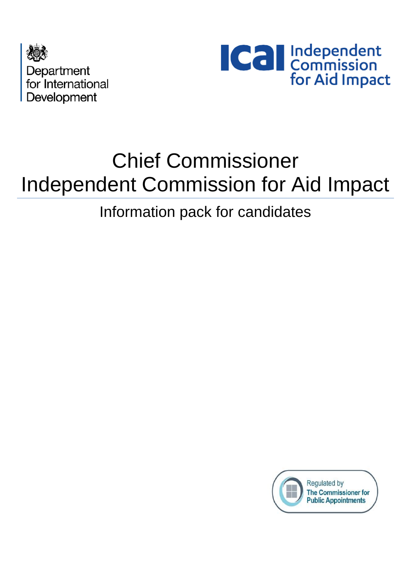



# Chief Commissioner Independent Commission for Aid Impact

### Information pack for candidates

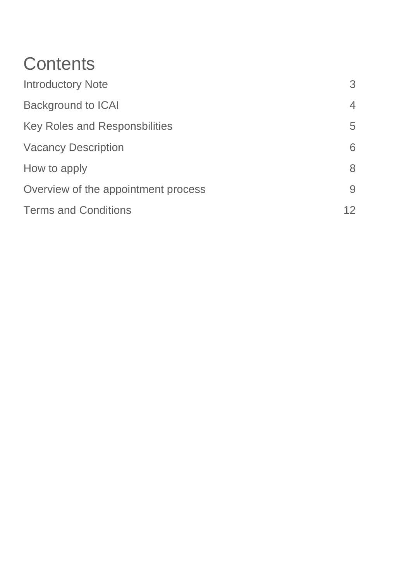## **Contents**

| <b>Introductory Note</b>             | 3 |
|--------------------------------------|---|
| <b>Background to ICAI</b>            | 4 |
| <b>Key Roles and Responsbilities</b> | 5 |
| <b>Vacancy Description</b>           | 6 |
| How to apply                         | 8 |
| Overview of the appointment process  | 9 |
| <b>Terms and Conditions</b>          |   |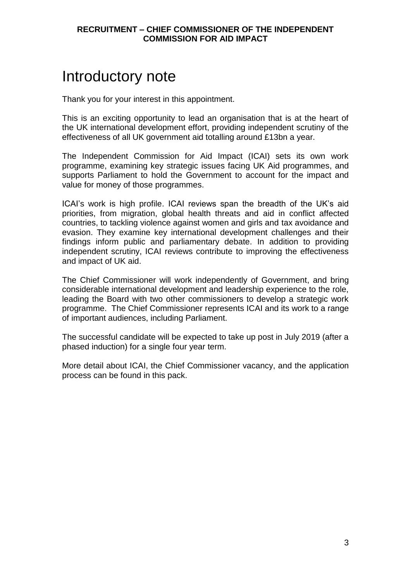### Introductory note

Thank you for your interest in this appointment.

This is an exciting opportunity to lead an organisation that is at the heart of the UK international development effort, providing independent scrutiny of the effectiveness of all UK government aid totalling around £13bn a year.

The Independent Commission for Aid Impact (ICAI) sets its own work programme, examining key strategic issues facing UK Aid programmes, and supports Parliament to hold the Government to account for the impact and value for money of those programmes.

ICAI's work is high profile. ICAI reviews span the breadth of the UK's aid priorities, from migration, global health threats and aid in conflict affected countries, to tackling violence against women and girls and tax avoidance and evasion. They examine key international development challenges and their findings inform public and parliamentary debate. In addition to providing independent scrutiny, ICAI reviews contribute to improving the effectiveness and impact of UK aid.

The Chief Commissioner will work independently of Government, and bring considerable international development and leadership experience to the role, leading the Board with two other commissioners to develop a strategic work programme. The Chief Commissioner represents ICAI and its work to a range of important audiences, including Parliament.

The successful candidate will be expected to take up post in July 2019 (after a phased induction) for a single four year term.

More detail about ICAI, the Chief Commissioner vacancy, and the application process can be found in this pack.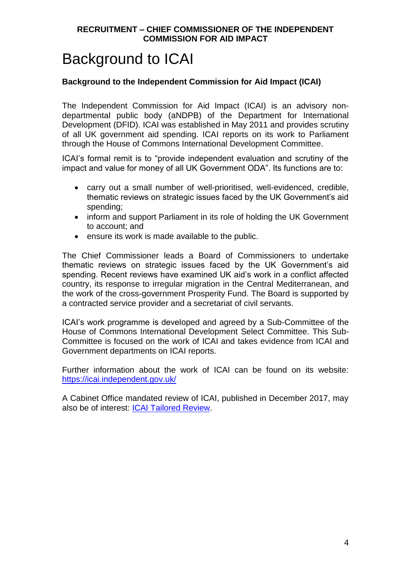### Background to ICAI

#### **Background to the Independent Commission for Aid Impact (ICAI)**

The Independent Commission for Aid Impact (ICAI) is an advisory nondepartmental public body (aNDPB) of the Department for International Development (DFID). ICAI was established in May 2011 and provides scrutiny of all UK government aid spending. ICAI reports on its work to Parliament through the House of Commons [International Development Committee.](http://www.parliament.uk/business/committees/committees-a-z/commons-select/international-development-committee/)

ICAI's formal remit is to "provide independent evaluation and scrutiny of the impact and value for money of all UK Government ODA". Its functions are to:

- carry out a small number of well-prioritised, well-evidenced, credible, thematic reviews on strategic issues faced by the UK Government's aid spending;
- inform and support Parliament in its role of holding the UK Government to account; and
- ensure its work is made available to the public.

The Chief Commissioner leads a Board of Commissioners to undertake thematic reviews on strategic issues faced by the UK Government's aid spending. Recent reviews have examined UK aid's work in a conflict affected country, its response to irregular migration in the Central Mediterranean, and the work of the cross-government Prosperity Fund. The Board is supported by a contracted service provider and a secretariat of civil servants.

ICAI's work programme is developed and agreed by a Sub-Committee of the House of Commons International Development Select Committee. This Sub-Committee is focused on the work of ICAI and takes evidence from ICAI and Government departments on ICAI reports.

Further information about the work of ICAI can be found on its website: <https://icai.independent.gov.uk/>

A Cabinet Office mandated review of ICAI, published in December 2017, may also be of interest: [ICAI Tailored Review.](https://www.gov.uk/government/uploads/system/uploads/attachment_data/file/665905/Tailored-Review-ICAIb.pdf)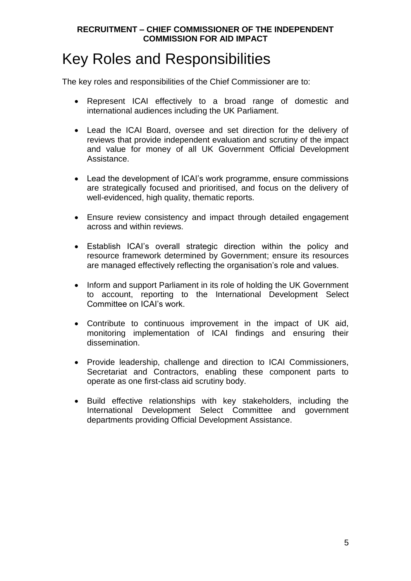### Key Roles and Responsibilities

The key roles and responsibilities of the Chief Commissioner are to:

- Represent ICAI effectively to a broad range of domestic and international audiences including the UK Parliament.
- Lead the ICAI Board, oversee and set direction for the delivery of reviews that provide independent evaluation and scrutiny of the impact and value for money of all UK Government Official Development Assistance.
- Lead the development of ICAI's work programme, ensure commissions are strategically focused and prioritised, and focus on the delivery of well-evidenced, high quality, thematic reports.
- Ensure review consistency and impact through detailed engagement across and within reviews.
- Establish ICAI's overall strategic direction within the policy and resource framework determined by Government; ensure its resources are managed effectively reflecting the organisation's role and values.
- Inform and support Parliament in its role of holding the UK Government to account, reporting to the International Development Select Committee on ICAI's work.
- Contribute to continuous improvement in the impact of UK aid, monitoring implementation of ICAI findings and ensuring their dissemination.
- Provide leadership, challenge and direction to ICAI Commissioners, Secretariat and Contractors, enabling these component parts to operate as one first-class aid scrutiny body.
- Build effective relationships with key stakeholders, including the International Development Select Committee and government departments providing Official Development Assistance.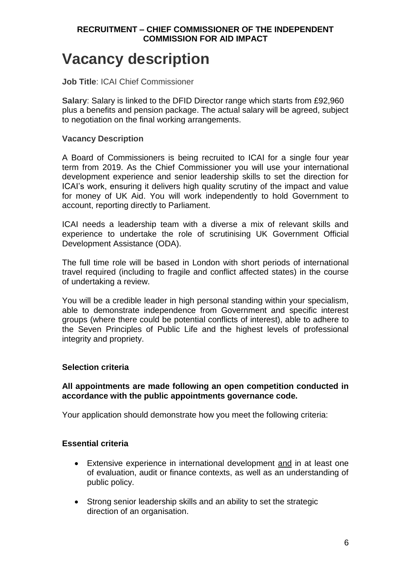### **Vacancy description**

**Job Title**: ICAI Chief Commissioner

**Salary**: Salary is linked to the DFID Director range which starts from £92,960 plus a benefits and pension package. The actual salary will be agreed, subject to negotiation on the final working arrangements.

#### **Vacancy Description**

A Board of Commissioners is being recruited to ICAI for a single four year term from 2019. As the Chief Commissioner you will use your international development experience and senior leadership skills to set the direction for ICAI's work, ensuring it delivers high quality scrutiny of the impact and value for money of UK Aid. You will work independently to hold Government to account, reporting directly to Parliament.

ICAI needs a leadership team with a diverse a mix of relevant skills and experience to undertake the role of scrutinising UK Government Official Development Assistance (ODA).

The full time role will be based in London with short periods of international travel required (including to fragile and conflict affected states) in the course of undertaking a review.

You will be a credible leader in high personal standing within your specialism, able to demonstrate independence from Government and specific interest groups (where there could be potential conflicts of interest), able to adhere to the Seven Principles of Public Life and the highest levels of professional integrity and propriety.

#### **Selection criteria**

#### **All appointments are made following an open competition conducted in accordance with the public appointments governance code.**

Your application should demonstrate how you meet the following criteria:

#### **Essential criteria**

- Extensive experience in international development and in at least one of evaluation, audit or finance contexts, as well as an understanding of public policy.
- Strong senior leadership skills and an ability to set the strategic direction of an organisation.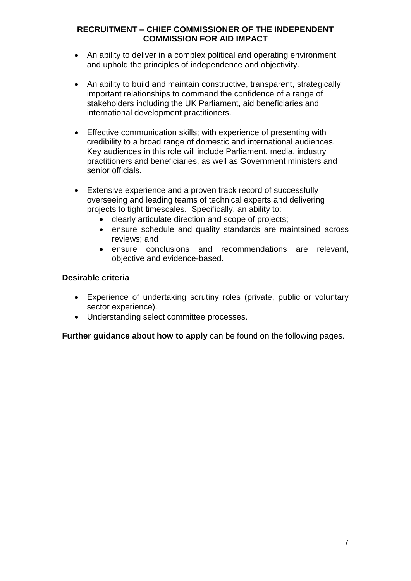- An ability to deliver in a complex political and operating environment, and uphold the principles of independence and objectivity.
- An ability to build and maintain constructive, transparent, strategically important relationships to command the confidence of a range of stakeholders including the UK Parliament, aid beneficiaries and international development practitioners.
- Effective communication skills; with experience of presenting with credibility to a broad range of domestic and international audiences. Key audiences in this role will include Parliament, media, industry practitioners and beneficiaries, as well as Government ministers and senior officials.
- Extensive experience and a proven track record of successfully overseeing and leading teams of technical experts and delivering projects to tight timescales. Specifically, an ability to:
	- clearly articulate direction and scope of projects;
	- ensure schedule and quality standards are maintained across reviews; and
	- ensure conclusions and recommendations are relevant, objective and evidence-based.

#### **Desirable criteria**

- Experience of undertaking scrutiny roles (private, public or voluntary sector experience).
- Understanding select committee processes.

**Further guidance about how to apply** can be found on the following pages.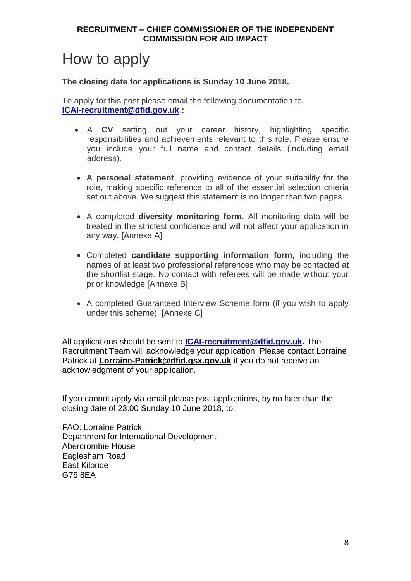### How to apply

#### **The closing date for applications is Sunday 10 June 2018.**

To apply for this post please email the following documentation to **[ICAI-recruitment@dfid.gov.uk](mailto:ICAI-recruitment@dfid.gov.uk) :**

- A **CV** setting out your career history, highlighting specific responsibilities and achievements relevant to this role. Please ensure you include your full name and contact details (including email address).
- **A personal statement**, providing evidence of your suitability for the role, making specific reference to all of the essential selection criteria set out above. We suggest this statement is no longer than two pages.
- A completed **diversity monitoring form**. All monitoring data will be treated in the strictest confidence and will not affect your application in any way. [Annexe A]
- Completed **candidate supporting information form,** including the names of at least two professional references who may be contacted at the shortlist stage. No contact with referees will be made without your prior knowledge [Annexe B]
- A completed Guaranteed Interview Scheme form (if you wish to apply under this scheme). [Annexe C]

All applications should be sent to **[ICAI-recruitment@dfid.gov.uk.](mailto:ICAI-recruitment@dfid.gov.uk)** The Recruitment Team will acknowledge your application. Please contact Lorraine Patrick at **[Lorraine-Patrick@dfid.gsx.gov.uk](mailto:Lorraine-Patrick@dfid.gsx.gov.uk)** if you do not receive an acknowledgment of your application.

If you cannot apply via email please post applications, by no later than the closing date of 23:00 Sunday 10 June 2018, to:

FAO: Lorraine Patrick Department for International Development Abercrombie House Eaglesham Road East Kilbride G75 8EA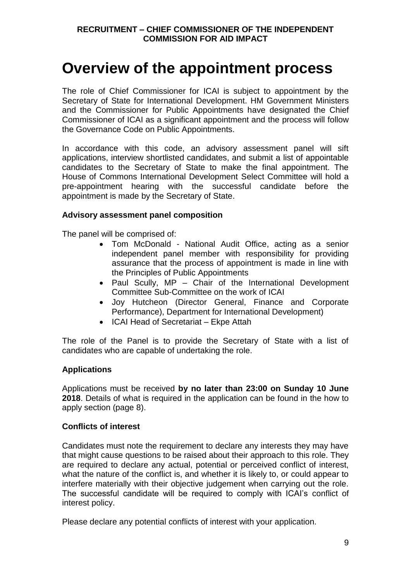### **Overview of the appointment process**

The role of Chief Commissioner for ICAI is subject to appointment by the Secretary of State for International Development. HM Government Ministers and the Commissioner for Public Appointments have designated the Chief Commissioner of ICAI as a significant appointment and the process will follow the Governance Code on Public Appointments.

In accordance with this code, an advisory assessment panel will sift applications, interview shortlisted candidates, and submit a list of appointable candidates to the Secretary of State to make the final appointment. The House of Commons International Development Select Committee will hold a pre-appointment hearing with the successful candidate before the appointment is made by the Secretary of State.

#### **Advisory assessment panel composition**

The panel will be comprised of:

- Tom McDonald National Audit Office, acting as a senior independent panel member with responsibility for providing assurance that the process of appointment is made in line with the Principles of Public Appointments
- Paul Scully, MP Chair of the International Development Committee Sub-Committee on the work of ICAI
- Joy Hutcheon (Director General, Finance and Corporate Performance), Department for International Development)
- ICAI Head of Secretariat Ekpe Attah

The role of the Panel is to provide the Secretary of State with a list of candidates who are capable of undertaking the role.

#### **Applications**

Applications must be received **by no later than 23:00 on Sunday 10 June 2018**. Details of what is required in the application can be found in the how to apply section (page 8).

#### **Conflicts of interest**

Candidates must note the requirement to declare any interests they may have that might cause questions to be raised about their approach to this role. They are required to declare any actual, potential or perceived conflict of interest, what the nature of the conflict is, and whether it is likely to, or could appear to interfere materially with their objective judgement when carrying out the role. The successful candidate will be required to comply with ICAI's conflict of interest policy.

Please declare any potential conflicts of interest with your application.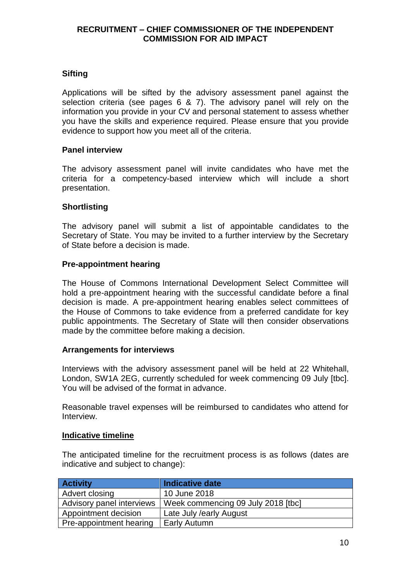#### **Sifting**

Applications will be sifted by the advisory assessment panel against the selection criteria (see pages 6 & 7). The advisory panel will rely on the information you provide in your CV and personal statement to assess whether you have the skills and experience required. Please ensure that you provide evidence to support how you meet all of the criteria.

#### **Panel interview**

The advisory assessment panel will invite candidates who have met the criteria for a competency-based interview which will include a short presentation.

#### **Shortlisting**

The advisory panel will submit a list of appointable candidates to the Secretary of State. You may be invited to a further interview by the Secretary of State before a decision is made.

#### **Pre-appointment hearing**

The House of Commons International Development Select Committee will hold a pre-appointment hearing with the successful candidate before a final decision is made. A pre-appointment hearing enables select committees of the House of Commons to take evidence from a preferred candidate for key public appointments. The Secretary of State will then consider observations made by the committee before making a decision.

#### **Arrangements for interviews**

Interviews with the advisory assessment panel will be held at 22 Whitehall, London, SW1A 2EG, currently scheduled for week commencing 09 July [tbc]. You will be advised of the format in advance.

Reasonable travel expenses will be reimbursed to candidates who attend for Interview.

#### **Indicative timeline**

The anticipated timeline for the recruitment process is as follows (dates are indicative and subject to change):

| <b>Activity</b>           | <b>Indicative date</b>             |
|---------------------------|------------------------------------|
| Advert closing            | 10 June 2018                       |
| Advisory panel interviews | Week commencing 09 July 2018 [tbc] |
| Appointment decision      | Late July / early August           |
| Pre-appointment hearing   | <b>Early Autumn</b>                |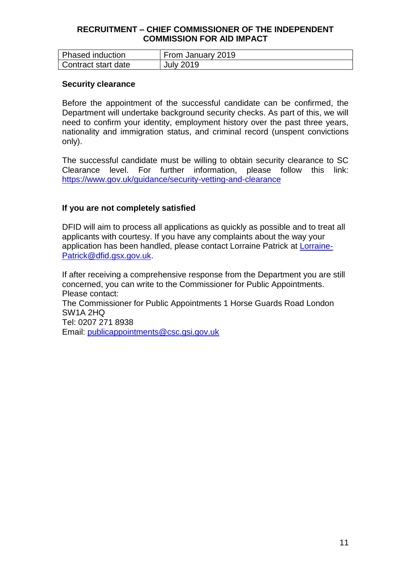| <b>Phased induction</b> | From January 2019 |
|-------------------------|-------------------|
| Contract start date     | <b>July 2019</b>  |

#### **Security clearance**

Before the appointment of the successful candidate can be confirmed, the Department will undertake background security checks. As part of this, we will need to confirm your identity, employment history over the past three years, nationality and immigration status, and criminal record (unspent convictions only).

The successful candidate must be willing to obtain security clearance to SC Clearance level. For further information, please follow this link: <https://www.gov.uk/guidance/security-vetting-and-clearance>

#### **If you are not completely satisfied**

DFID will aim to process all applications as quickly as possible and to treat all applicants with courtesy. If you have any complaints about the way your application has been handled, please contact Lorraine Patrick at [Lorraine-](mailto:Lorraine-Patrick@dfid.gsx.gov.uk)[Patrick@dfid.gsx.gov.uk.](mailto:Lorraine-Patrick@dfid.gsx.gov.uk)

If after receiving a comprehensive response from the Department you are still concerned, you can write to the Commissioner for Public Appointments. Please contact: The Commissioner for Public Appointments 1 Horse Guards Road London SW1A 2HQ Tel: 0207 271 8938 Email: [publicappointments@csc.gsi.gov.uk](mailto:publicappointments@csc.gsi.gov.uk)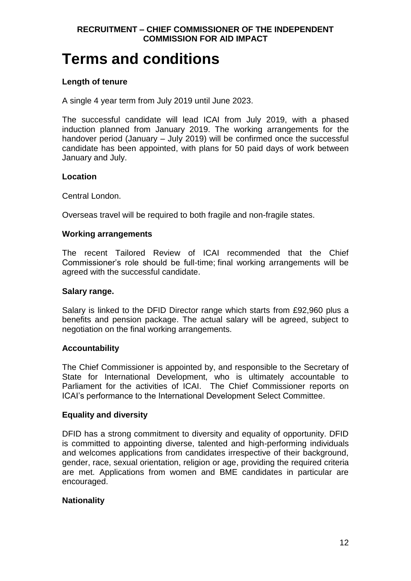### **Terms and conditions**

#### **Length of tenure**

A single 4 year term from July 2019 until June 2023.

The successful candidate will lead ICAI from July 2019, with a phased induction planned from January 2019. The working arrangements for the handover period (January – July 2019) will be confirmed once the successful candidate has been appointed, with plans for 50 paid days of work between January and July.

#### **Location**

Central London.

Overseas travel will be required to both fragile and non-fragile states.

#### **Working arrangements**

The recent Tailored Review of ICAI recommended that the Chief Commissioner's role should be full-time; final working arrangements will be agreed with the successful candidate.

#### **Salary range.**

Salary is linked to the DFID Director range which starts from £92,960 plus a benefits and pension package. The actual salary will be agreed, subject to negotiation on the final working arrangements.

#### **Accountability**

The Chief Commissioner is appointed by, and responsible to the Secretary of State for International Development, who is ultimately accountable to Parliament for the activities of ICAI. The Chief Commissioner reports on ICAI's performance to the International Development Select Committee.

#### **Equality and diversity**

DFID has a strong commitment to diversity and equality of opportunity. DFID is committed to appointing diverse, talented and high-performing individuals and welcomes applications from candidates irrespective of their background, gender, race, sexual orientation, religion or age, providing the required criteria are met. Applications from women and BME candidates in particular are encouraged.

#### **Nationality**